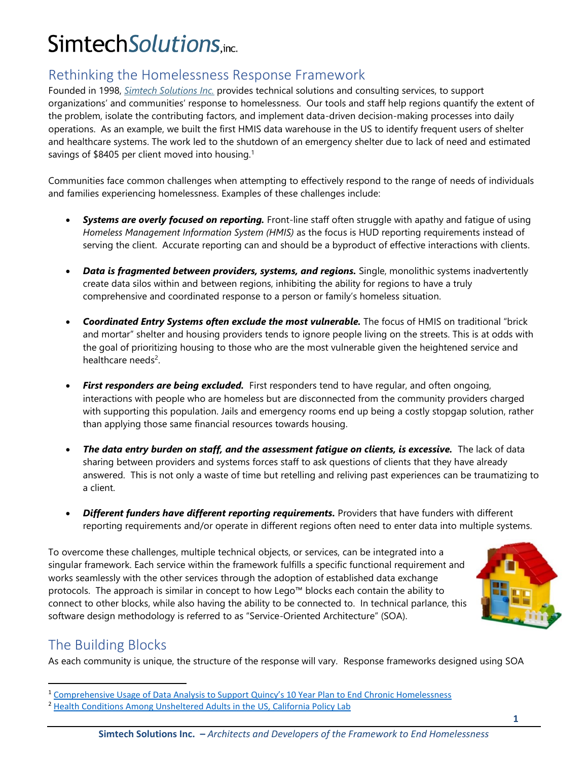# SimtechSolutions.inc.

#### Rethinking the Homelessness Response Framework

Founded in 1998, *[Simtech Solutions Inc.](http://www.simtechsolutions.com/)* provides technical solutions and consulting services, to support organizations' and communities' response to homelessness. Our tools and staff help regions quantify the extent of the problem, isolate the contributing factors, and implement data-driven decision-making processes into daily operations. As an example, we built the first HMIS data warehouse in the US to identify frequent users of shelter and healthcare systems. The work led to the shutdown of an emergency shelter due to lack of need and estimated savings of \$8405 per client moved into housing.<sup>1</sup>

Communities face common challenges when attempting to effectively respond to the range of needs of individuals and families experiencing homelessness. Examples of these challenges include:

- **Systems are overly focused on reporting.** Front-line staff often struggle with apathy and fatigue of using *Homeless Management Information System (HMIS)* as the focus is HUD reporting requirements instead of serving the client. Accurate reporting can and should be a byproduct of effective interactions with clients.
- *Data is fragmented between providers, systems, and regions.* Single, monolithic systems inadvertently create data silos within and between regions, inhibiting the ability for regions to have a truly comprehensive and coordinated response to a person or family's homeless situation.
- *Coordinated Entry Systems often exclude the most vulnerable.* The focus of HMIS on traditional "brick and mortar" shelter and housing providers tends to ignore people living on the streets. This is at odds with the goal of prioritizing housing to those who are the most vulnerable given the heightened service and healthcare needs<sup>2</sup>.
- *First responders are being excluded.* First responders tend to have regular, and often ongoing, interactions with people who are homeless but are disconnected from the community providers charged with supporting this population. Jails and emergency rooms end up being a costly stopgap solution, rather than applying those same financial resources towards housing.
- *The data entry burden on staff, and the assessment fatigue on clients, is excessive.* The lack of data sharing between providers and systems forces staff to ask questions of clients that they have already answered. This is not only a waste of time but retelling and reliving past experiences can be traumatizing to a client.
- *Different funders have different reporting requirements.* Providers that have funders with different reporting requirements and/or operate in different regions often need to enter data into multiple systems.

To overcome these challenges, multiple technical objects, or services, can be integrated into a singular framework. Each service within the framework fulfills a specific functional requirement and works seamlessly with the other services through the adoption of established data exchange protocols. The approach is similar in concept to how Lego™ blocks each contain the ability to connect to other blocks, while also having the ability to be connected to. In technical parlance, this software design methodology is referred to as "Service-Oriented Architecture" (SOA).



#### The Building Blocks

As each community is unique, the structure of the response will vary. Response frameworks designed using SOA

<sup>&</sup>lt;sup>1</sup> [Comprehensive Usage of Data Analysis to Support Quincy](https://new.simtechsolutions.com/wp-content/uploads/sites/3/2020/03/Data-Analysis-to-Support-Quincys-10-Yr-Plan.pdf)'s 10 Year Plan to End Chronic Homelessness

<sup>&</sup>lt;sup>2</sup> [Health Conditions Among Unsheltered Adults in the US,](https://www.capolicylab.org/wp-content/uploads/2019/10/Health-Conditions-Among-Unsheltered-Adults-in-the-U.S.pdf) California Policy Lab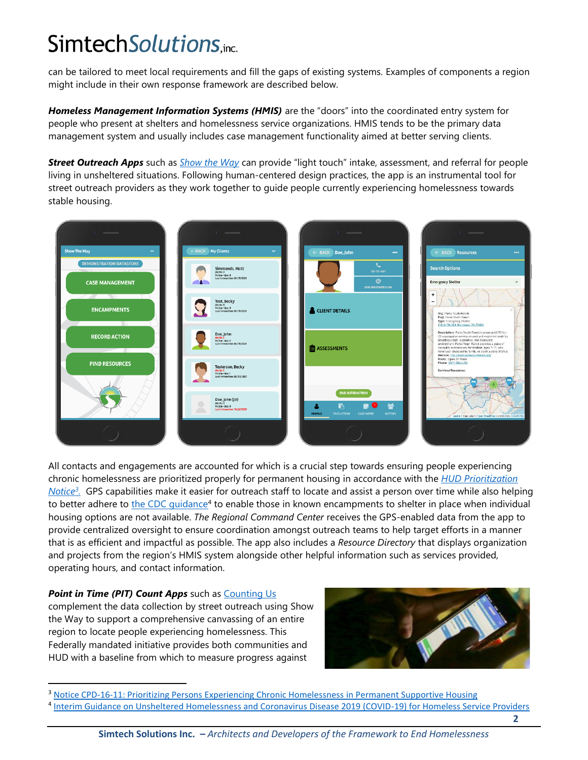# SimtechSolutions.inc.

can be tailored to meet local requirements and fill the gaps of existing systems. Examples of components a region might include in their own response framework are described below.

Homeless Management Information Systems (HMIS) are the "doors" into the coordinated entry system for people who present at shelters and homelessness service organizations. HMIS tends to be the primary data management system and usually includes case management functionality aimed at better serving clients.

*Street Outreach Apps* such as *[Show the Way](http://www.showtheway.info/)* can provide "light touch" intake, assessment, and referral for people living in unsheltered situations. Following human-centered design practices, the app is an instrumental tool for street outreach providers as they work together to guide people currently experiencing homelessness towards stable housing.



All contacts and engagements are accounted for which is a crucial step towards ensuring people experiencing chronic homelessness are prioritized properly for permanent housing in accordance with the *[HUD Prioritization](https://www.hudexchange.info/resource/5108/notice-cpd-16-11-prioritizing-persons-experiencing-chronic-homelessness-and-other-vulnerable-homeless-persons-in-psh/)  [Notice](https://www.hudexchange.info/resource/5108/notice-cpd-16-11-prioritizing-persons-experiencing-chronic-homelessness-and-other-vulnerable-homeless-persons-in-psh/) 3 .* GPS capabilities make it easier for outreach staff to locate and assist a person over time while also helping to better adhere to the CDC quidance<sup>4</sup> to enable those in known encampments to shelter in place when individual housing options are not available. *The Regional Command Center* receives the GPS-enabled data from the app to provide centralized oversight to ensure coordination amongst outreach teams to help target efforts in a manner that is as efficient and impactful as possible. The app also includes a *Resource Directory* that displays organization and projects from the region's HMIS system alongside other helpful information such as services provided, operating hours, and contact information.

#### **Point in Time (PIT) Count Apps** such as **Counting Us**

complement the data collection by street outreach using Show the Way to support a comprehensive canvassing of an entire region to locate people experiencing homelessness. This Federally mandated initiative provides both communities and HUD with a baseline from which to measure progress against



<sup>&</sup>lt;sup>3</sup> [Notice CPD-16-11: Prioritizing Persons Experiencing Chronic Homelessness in Permanent Supportive Housing](https://www.hudexchange.info/resource/5108/notice-cpd-16-11-prioritizing-persons-experiencing-chronic-homelessness-and-other-vulnerable-homeless-persons-in-psh/)

**2**

<sup>4</sup> [Interim Guidance on Unsheltered Homelessness and Coronavirus Disease 2019 \(COVID-19\) for Homeless Service Providers](https://www.cdc.gov/coronavirus/2019-ncov/community/homeless-shelters/unsheltered-homelessness.html)